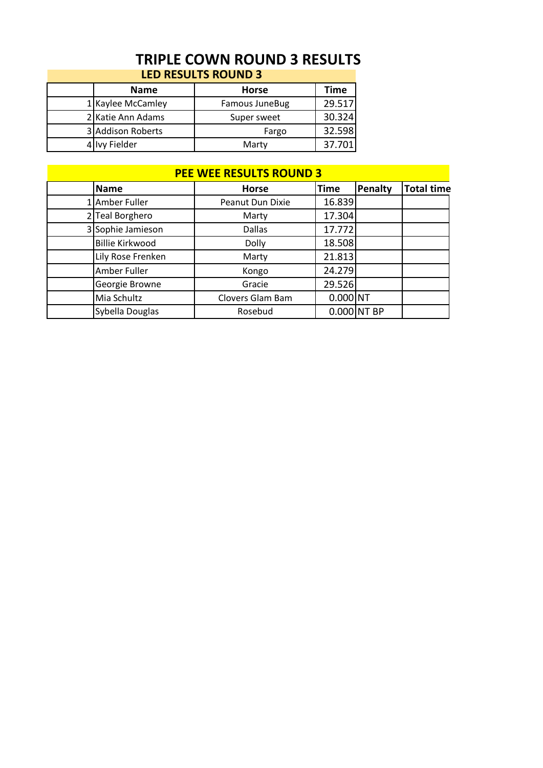## **TRIPLE COWN ROUND 3 RESULTS LED RESULTS ROUND 3**

|  | <b>Name</b>       | <b>Horse</b>   | Time   |  |  |
|--|-------------------|----------------|--------|--|--|
|  | 1 Kaylee McCamley | Famous JuneBug | 29.517 |  |  |
|  | 2 Katie Ann Adams | Super sweet    | 30.324 |  |  |
|  | 3 Addison Roberts | Fargo          | 32.598 |  |  |
|  | Ivy Fielder       | Marty          | 37.701 |  |  |

| <b>PEE WEE RESULTS ROUND 3</b> |                        |                  |             |               |                   |
|--------------------------------|------------------------|------------------|-------------|---------------|-------------------|
|                                | <b>Name</b>            | <b>Horse</b>     | <b>Time</b> | Penalty       | <b>Total time</b> |
|                                | 1 Amber Fuller         | Peanut Dun Dixie | 16.839      |               |                   |
|                                | 2 Teal Borghero        | Marty            | 17.304      |               |                   |
|                                | 3 Sophie Jamieson      | <b>Dallas</b>    | 17.772      |               |                   |
|                                | <b>Billie Kirkwood</b> | Dolly            | 18.508      |               |                   |
|                                | Lily Rose Frenken      | Marty            | 21.813      |               |                   |
|                                | Amber Fuller           | Kongo            | 24.279      |               |                   |
|                                | Georgie Browne         | Gracie           | 29.526      |               |                   |
|                                | Mia Schultz            | Clovers Glam Bam | $0.000$ NT  |               |                   |
|                                | Sybella Douglas        | Rosebud          |             | $0.000$ NT BP |                   |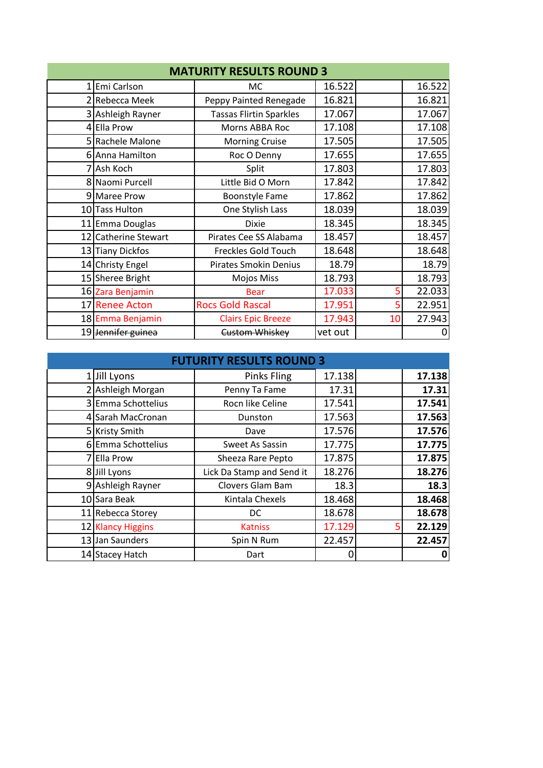| <b>MATURITY RESULTS ROUND 3</b> |                      |                                |         |    |        |
|---------------------------------|----------------------|--------------------------------|---------|----|--------|
|                                 | Emi Carlson          | MC.                            | 16.522  |    | 16.522 |
|                                 | 2 Rebecca Meek       | Peppy Painted Renegade         | 16.821  |    | 16.821 |
|                                 | 3 Ashleigh Rayner    | <b>Tassas Flirtin Sparkles</b> | 17.067  |    | 17.067 |
|                                 | 4 Ella Prow          | Morns ABBA Roc                 | 17.108  |    | 17.108 |
|                                 | 5 Rachele Malone     | <b>Morning Cruise</b>          | 17.505  |    | 17.505 |
|                                 | 6 Anna Hamilton      | Roc O Denny                    | 17.655  |    | 17.655 |
|                                 | 7 Ash Koch           | Split                          | 17.803  |    | 17.803 |
|                                 | 8 Naomi Purcell      | Little Bid O Morn              | 17.842  |    | 17.842 |
|                                 | 9 Maree Prow         | <b>Boonstyle Fame</b>          | 17.862  |    | 17.862 |
|                                 | 10 Tass Hulton       | One Stylish Lass               | 18.039  |    | 18.039 |
| 11                              | Emma Douglas         | <b>Dixie</b>                   | 18.345  |    | 18.345 |
|                                 | 12 Catherine Stewart | Pirates Cee SS Alabama         | 18.457  |    | 18.457 |
|                                 | 13 Tiany Dickfos     | <b>Freckles Gold Touch</b>     | 18.648  |    | 18.648 |
|                                 | 14 Christy Engel     | <b>Pirates Smokin Denius</b>   | 18.79   |    | 18.79  |
|                                 | 15 Sheree Bright     | Mojos Miss                     | 18.793  |    | 18.793 |
|                                 | 16 Zara Benjamin     | <b>Bear</b>                    | 17.033  |    | 22.033 |
|                                 | 17 Renee Acton       | <b>Rocs Gold Rascal</b>        | 17.951  |    | 22.951 |
|                                 | 18 Emma Benjamin     | <b>Clairs Epic Breeze</b>      | 17.943  | 10 | 27.943 |
|                                 | 19 Jennifer guinea   | Custom Whiskey                 | vet out |    | 0      |

| <b>FUTURITY RESULTS ROUND 3</b> |                    |                           |        |  |        |
|---------------------------------|--------------------|---------------------------|--------|--|--------|
|                                 | 1 Jill Lyons       | <b>Pinks Fling</b>        | 17.138 |  | 17.138 |
|                                 | 2 Ashleigh Morgan  | Penny Ta Fame             | 17.31  |  | 17.31  |
|                                 | 3 Emma Schottelius | Rocn like Celine          | 17.541 |  | 17.541 |
|                                 | 4 Sarah MacCronan  | Dunston                   | 17.563 |  | 17.563 |
|                                 | 5 Kristy Smith     | Dave                      | 17.576 |  | 17.576 |
|                                 | 6 Emma Schottelius | Sweet As Sassin           | 17.775 |  | 17.775 |
|                                 | <b>Ella Prow</b>   | Sheeza Rare Pepto         | 17.875 |  | 17.875 |
|                                 | 8 Jill Lyons       | Lick Da Stamp and Send it | 18.276 |  | 18.276 |
|                                 | 9 Ashleigh Rayner  | Clovers Glam Bam          | 18.3   |  | 18.3   |
|                                 | 10 Sara Beak       | Kintala Chexels           | 18.468 |  | 18.468 |
|                                 | 11 Rebecca Storey  | DC                        | 18.678 |  | 18.678 |
|                                 | 12 Klancy Higgins  | <b>Katniss</b>            | 17.129 |  | 22.129 |
|                                 | 13 Jan Saunders    | Spin N Rum                | 22.457 |  | 22.457 |
|                                 | 14 Stacey Hatch    | Dart                      | 0      |  | 0      |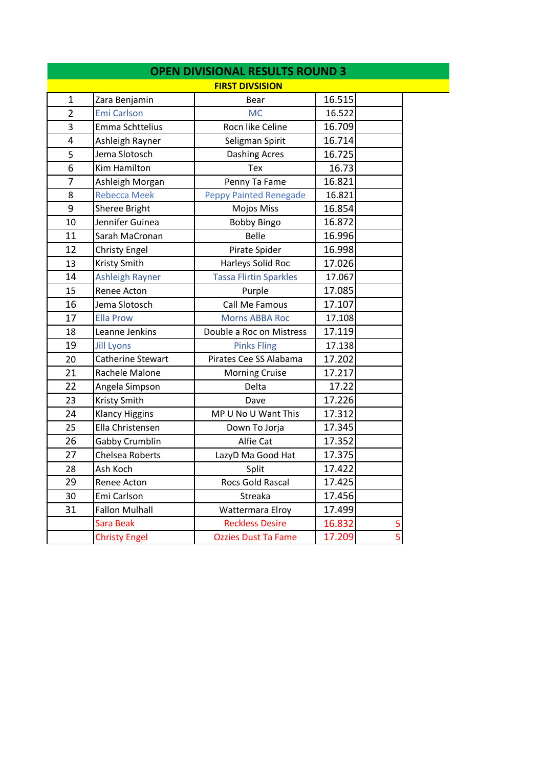|                |                        | <b>OPEN DIVISIONAL RESULTS ROUND 3</b> |        |   |  |
|----------------|------------------------|----------------------------------------|--------|---|--|
|                |                        | <b>FIRST DIVSISION</b>                 |        |   |  |
| $\mathbf{1}$   | Zara Benjamin          | Bear                                   | 16.515 |   |  |
| $\overline{2}$ | <b>Emi Carlson</b>     | <b>MC</b>                              | 16.522 |   |  |
| 3              | Emma Schttelius        | Rocn like Celine                       | 16.709 |   |  |
| 4              | Ashleigh Rayner        | Seligman Spirit                        | 16.714 |   |  |
| 5              | Jema Slotosch          | <b>Dashing Acres</b>                   | 16.725 |   |  |
| 6              | Kim Hamilton           | Tex                                    | 16.73  |   |  |
| 7              | Ashleigh Morgan        | Penny Ta Fame                          | 16.821 |   |  |
| 8              | <b>Rebecca Meek</b>    | <b>Peppy Painted Renegade</b>          | 16.821 |   |  |
| 9              | Sheree Bright          | Mojos Miss                             | 16.854 |   |  |
| 10             | Jennifer Guinea        | <b>Bobby Bingo</b>                     | 16.872 |   |  |
| 11             | Sarah MaCronan         | <b>Belle</b>                           | 16.996 |   |  |
| 12             | <b>Christy Engel</b>   | Pirate Spider                          | 16.998 |   |  |
| 13             | Kristy Smith           | Harleys Solid Roc                      | 17.026 |   |  |
| 14             | <b>Ashleigh Rayner</b> | <b>Tassa Flirtin Sparkles</b>          | 17.067 |   |  |
| 15             | Renee Acton            | Purple                                 | 17.085 |   |  |
| 16             | Jema Slotosch          | Call Me Famous                         | 17.107 |   |  |
| 17             | <b>Ella Prow</b>       | <b>Morns ABBA Roc</b>                  | 17.108 |   |  |
| 18             | Leanne Jenkins         | Double a Roc on Mistress               | 17.119 |   |  |
| 19             | <b>Jill Lyons</b>      | <b>Pinks Fling</b>                     | 17.138 |   |  |
| 20             | Catherine Stewart      | Pirates Cee SS Alabama                 | 17.202 |   |  |
| 21             | Rachele Malone         | <b>Morning Cruise</b>                  | 17.217 |   |  |
| 22             | Angela Simpson         | Delta                                  | 17.22  |   |  |
| 23             | Kristy Smith           | Dave                                   | 17.226 |   |  |
| 24             | <b>Klancy Higgins</b>  | MP U No U Want This                    | 17.312 |   |  |
| 25             | Ella Christensen       | Down To Jorja                          | 17.345 |   |  |
| 26             | Gabby Crumblin         | Alfie Cat                              | 17.352 |   |  |
| 27             | <b>Chelsea Roberts</b> | LazyD Ma Good Hat                      | 17.375 |   |  |
| 28             | Ash Koch               | Split                                  | 17.422 |   |  |
| 29             | Renee Acton            | Rocs Gold Rascal                       | 17.425 |   |  |
| 30             | Emi Carlson            | Streaka                                | 17.456 |   |  |
| 31             | <b>Fallon Mulhall</b>  | Wattermara Elroy                       | 17.499 |   |  |
|                | <b>Sara Beak</b>       | <b>Reckless Desire</b>                 | 16.832 | 5 |  |
|                | <b>Christy Engel</b>   | <b>Ozzies Dust Ta Fame</b>             | 17.209 | 5 |  |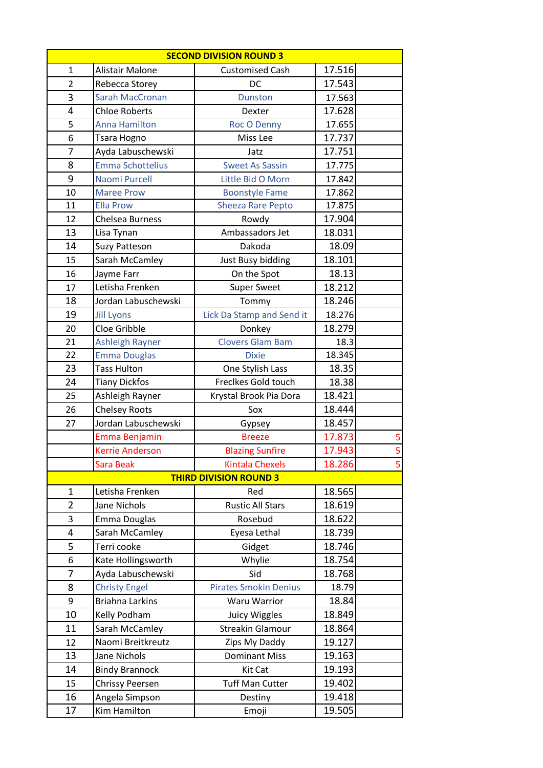| <b>SECOND DIVISION ROUND 3</b> |                                |                               |        |                         |
|--------------------------------|--------------------------------|-------------------------------|--------|-------------------------|
| $\mathbf{1}$                   | Alistair Malone                | <b>Customised Cash</b>        | 17.516 |                         |
| $\overline{2}$                 | Rebecca Storey                 | DC                            | 17.543 |                         |
| 3                              | <b>Sarah MacCronan</b>         | <b>Dunston</b>                | 17.563 |                         |
| 4                              | <b>Chloe Roberts</b>           | Dexter                        | 17.628 |                         |
| 5                              | <b>Anna Hamilton</b>           | Roc O Denny                   | 17.655 |                         |
| 6                              | Tsara Hogno                    | Miss Lee                      | 17.737 |                         |
| $\overline{7}$                 | Ayda Labuschewski              | Jatz                          | 17.751 |                         |
| 8                              | <b>Emma Schottelius</b>        | <b>Sweet As Sassin</b>        | 17.775 |                         |
| 9                              | Naomi Purcell                  | Little Bid O Morn             | 17.842 |                         |
| 10                             | <b>Maree Prow</b>              | <b>Boonstyle Fame</b>         | 17.862 |                         |
| 11                             | <b>Ella Prow</b>               | <b>Sheeza Rare Pepto</b>      | 17.875 |                         |
| 12                             | Chelsea Burness                | Rowdy                         | 17.904 |                         |
| 13                             | Lisa Tynan                     | Ambassadors Jet               | 18.031 |                         |
| 14                             | <b>Suzy Patteson</b>           | Dakoda                        | 18.09  |                         |
| 15                             | Sarah McCamley                 | <b>Just Busy bidding</b>      | 18.101 |                         |
| 16                             | Jayme Farr                     | On the Spot                   | 18.13  |                         |
| 17                             | Letisha Frenken                | <b>Super Sweet</b>            | 18.212 |                         |
| 18                             | Jordan Labuschewski            | Tommy                         | 18.246 |                         |
| 19                             | <b>Jill Lyons</b>              | Lick Da Stamp and Send it     | 18.276 |                         |
| 20                             | Cloe Gribble                   | Donkey                        | 18.279 |                         |
| 21                             | <b>Ashleigh Rayner</b>         | <b>Clovers Glam Bam</b>       | 18.3   |                         |
| 22                             | <b>Emma Douglas</b>            | <b>Dixie</b>                  | 18.345 |                         |
| 23                             | <b>Tass Hulton</b>             | One Stylish Lass              | 18.35  |                         |
| 24                             | <b>Tiany Dickfos</b>           | Freclkes Gold touch           | 18.38  |                         |
| 25                             | Ashleigh Rayner                | Krystal Brook Pia Dora        | 18.421 |                         |
| 26                             | <b>Chelsey Roots</b>           | Sox                           | 18.444 |                         |
| 27                             | Jordan Labuschewski            | Gypsey                        | 18.457 |                         |
|                                | Emma Benjamin                  | <b>Breeze</b>                 | 17.873 | $\overline{\mathbf{5}}$ |
|                                | <b>Kerrie Anderson</b>         | <b>Blazing Sunfire</b>        | 17.943 | $\overline{5}$          |
|                                | <b>Sara Beak</b>               | <b>Kintala Chexels</b>        | 18.286 | 5                       |
|                                |                                | <b>THIRD DIVISION ROUND 3</b> |        |                         |
| 1                              | Letisha Frenken                | Red                           | 18.565 |                         |
| $\overline{2}$                 | Jane Nichols                   | <b>Rustic All Stars</b>       | 18.619 |                         |
| 3                              | Emma Douglas                   | Rosebud                       | 18.622 |                         |
| 4                              | Sarah McCamley                 | Eyesa Lethal                  | 18.739 |                         |
| 5                              | Terri cooke                    | Gidget                        | 18.746 |                         |
| 6                              | Kate Hollingsworth             | Whylie                        | 18.754 |                         |
| 7                              | Ayda Labuschewski              | Sid                           | 18.768 |                         |
| 8                              | <b>Christy Engel</b>           | <b>Pirates Smokin Denius</b>  | 18.79  |                         |
| 9                              | <b>Briahna Larkins</b>         | <b>Waru Warrior</b>           | 18.84  |                         |
| 10                             | Kelly Podham                   | Juicy Wiggles                 | 18.849 |                         |
| 11                             | Sarah McCamley                 | <b>Streakin Glamour</b>       | 18.864 |                         |
| 12                             | Naomi Breitkreutz              | Zips My Daddy                 | 19.127 |                         |
| 13                             | Jane Nichols                   | <b>Dominant Miss</b>          | 19.163 |                         |
| 14                             | <b>Bindy Brannock</b>          | Kit Cat                       | 19.193 |                         |
| 15                             | <b>Chrissy Peersen</b>         | <b>Tuff Man Cutter</b>        | 19.402 |                         |
| 16                             | Angela Simpson<br>Kim Hamilton | Destiny                       | 19.418 |                         |
| 17                             |                                | Emoji                         | 19.505 |                         |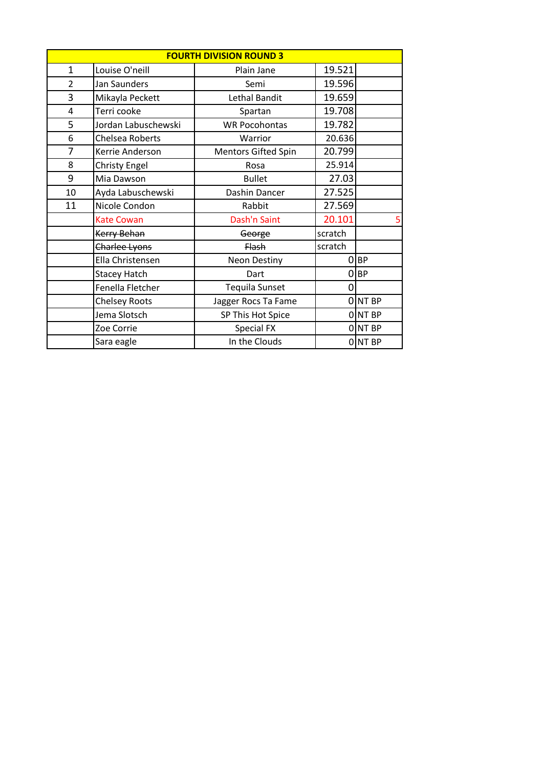| <b>FOURTH DIVISION ROUND 3</b> |                      |                       |         |           |
|--------------------------------|----------------------|-----------------------|---------|-----------|
| $\mathbf 1$                    | Louise O'neill       | Plain Jane            | 19.521  |           |
| $\overline{2}$                 | Jan Saunders         | Semi                  | 19.596  |           |
| 3                              | Mikayla Peckett      | Lethal Bandit         | 19.659  |           |
| $\overline{4}$                 | Terri cooke          | Spartan               | 19.708  |           |
| 5                              | Jordan Labuschewski  | <b>WR Pocohontas</b>  | 19.782  |           |
| 6                              | Chelsea Roberts      | Warrior               | 20.636  |           |
| 7                              | Kerrie Anderson      | Mentors Gifted Spin   | 20.799  |           |
| 8                              | <b>Christy Engel</b> | Rosa                  | 25.914  |           |
| 9                              | Mia Dawson           | <b>Bullet</b>         | 27.03   |           |
| 10                             | Ayda Labuschewski    | Dashin Dancer         | 27.525  |           |
| 11                             | Nicole Condon        | Rabbit                | 27.569  |           |
|                                | <b>Kate Cowan</b>    | Dash'n Saint          | 20.101  | 5         |
|                                | Kerry Behan          | George                | scratch |           |
|                                | Charlee Lyons        | <b>Flash</b>          | scratch |           |
|                                | Ella Christensen     | <b>Neon Destiny</b>   | 0       | <b>BP</b> |
|                                | <b>Stacey Hatch</b>  | Dart                  |         | $O$ BP    |
|                                | Fenella Fletcher     | <b>Tequila Sunset</b> | 0       |           |
|                                | <b>Chelsey Roots</b> | Jagger Rocs Ta Fame   |         | ONT BP    |
|                                | Jema Slotsch         | SP This Hot Spice     |         | ONT BP    |
|                                | Zoe Corrie           | Special FX            |         | 0 NT BP   |
|                                | Sara eagle           | In the Clouds         |         | 0 NT BP   |